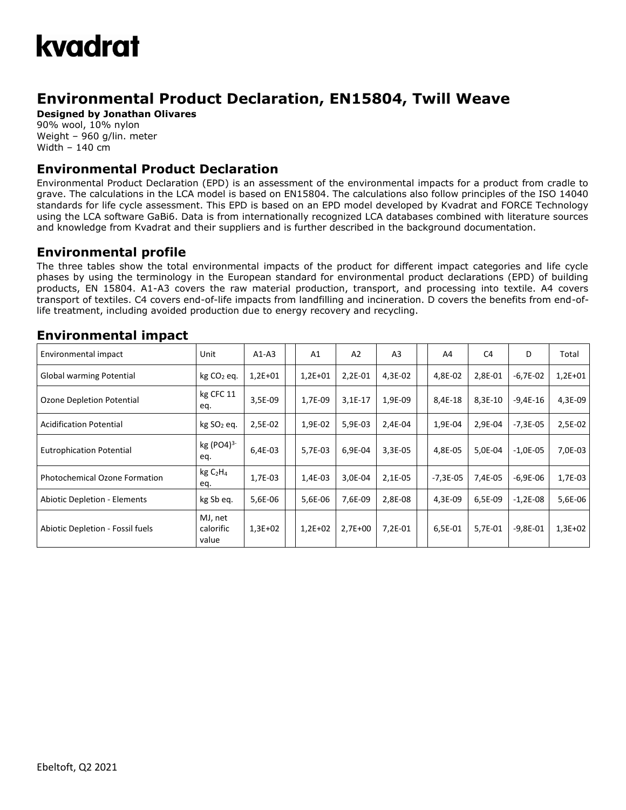## kvadrat

### **Environmental Product Declaration, EN15804, Twill Weave**

**Designed by Jonathan Olivares**

90% wool, 10% nylon Weight – 960 g/lin. meter Width – 140 cm

#### **Environmental Product Declaration**

Environmental Product Declaration (EPD) is an assessment of the environmental impacts for a product from cradle to grave. The calculations in the LCA model is based on EN15804. The calculations also follow principles of the ISO 14040 standards for life cycle assessment. This EPD is based on an EPD model developed by Kvadrat and FORCE Technology using the LCA software GaBi6. Data is from internationally recognized LCA databases combined with literature sources and knowledge from Kvadrat and their suppliers and is further described in the background documentation.

#### **Environmental profile**

The three tables show the total environmental impacts of the product for different impact categories and life cycle phases by using the terminology in the European standard for environmental product declarations (EPD) of building products, EN 15804. A1-A3 covers the raw material production, transport, and processing into textile. A4 covers transport of textiles. C4 covers end-of-life impacts from landfilling and incineration. D covers the benefits from end-oflife treatment, including avoided production due to energy recovery and recycling.

| Environmental impact                 | Unit                                    | $A1-A3$   | A <sub>1</sub> | A2        | A <sub>3</sub> | A4         | C <sub>4</sub> | D          | Total     |
|--------------------------------------|-----------------------------------------|-----------|----------------|-----------|----------------|------------|----------------|------------|-----------|
| Global warming Potential             | $kg CO2$ eq.                            | $1,2E+01$ | $1,2E+01$      | 2,2E-01   | 4,3E-02        | 4,8E-02    | 2,8E-01        | $-6,7E-02$ | $1,2E+01$ |
| <b>Ozone Depletion Potential</b>     | kg CFC 11<br>eq.                        | 3,5E-09   | 1,7E-09        | $3,1E-17$ | 1,9E-09        | 8,4E-18    | 8,3E-10        | $-9,4E-16$ | 4,3E-09   |
| <b>Acidification Potential</b>       | kg SO <sub>2</sub> eq.                  | 2,5E-02   | 1,9E-02        | 5,9E-03   | 2,4E-04        | 1,9E-04    | 2,9E-04        | $-7,3E-05$ | 2,5E-02   |
| <b>Eutrophication Potential</b>      | $kg (PO4)^{3-}$<br>eq.                  | 6,4E-03   | 5,7E-03        | 6,9E-04   | 3,3E-05        | 4,8E-05    | 5,0E-04        | $-1,0E-05$ | 7,0E-03   |
| <b>Photochemical Ozone Formation</b> | kg C <sub>2</sub> H <sub>4</sub><br>eq. | 1,7E-03   | 1,4E-03        | 3,0E-04   | 2,1E-05        | $-7,3E-05$ | 7,4E-05        | $-6,9E-06$ | 1,7E-03   |
| <b>Abiotic Depletion - Elements</b>  | kg Sb eq.                               | 5,6E-06   | 5,6E-06        | 7,6E-09   | 2,8E-08        | 4,3E-09    | 6,5E-09        | $-1,2E-08$ | 5,6E-06   |
| Abiotic Depletion - Fossil fuels     | MJ, net<br>calorific<br>value           | $1,3E+02$ | $1,2E+02$      | $2,7E+00$ | 7,2E-01        | 6,5E-01    | 5,7E-01        | $-9,8E-01$ | $1,3E+02$ |

#### **Environmental impact**